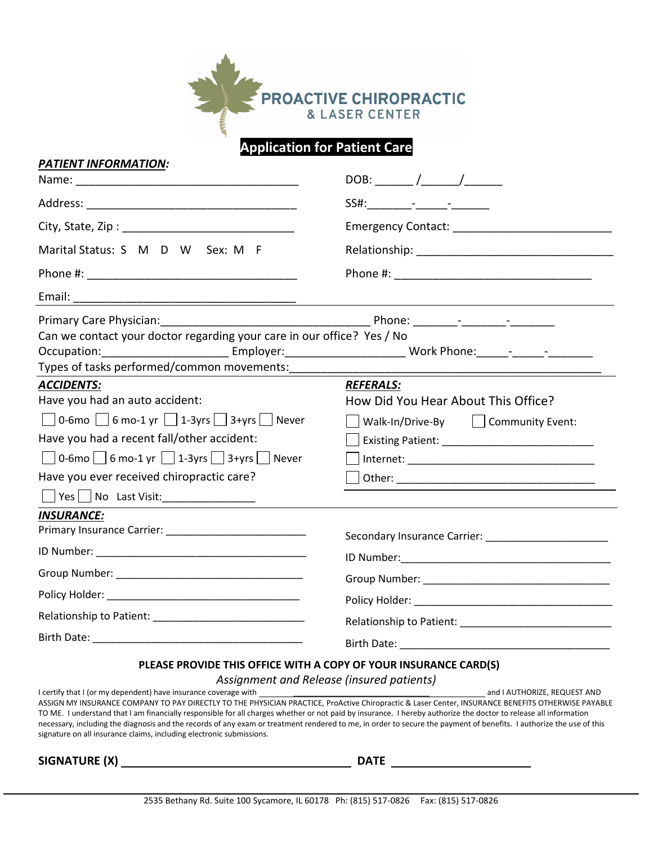

# **Application for Patient Care**

| PATIENT INFORMATION: |
|----------------------|
|                      |

|                                                                                                                                                                                                                                        | Emergency Contact: ________________________             |  |  |
|----------------------------------------------------------------------------------------------------------------------------------------------------------------------------------------------------------------------------------------|---------------------------------------------------------|--|--|
| Marital Status: S M D W Sex: M F                                                                                                                                                                                                       |                                                         |  |  |
|                                                                                                                                                                                                                                        |                                                         |  |  |
|                                                                                                                                                                                                                                        |                                                         |  |  |
| Can we contact your doctor regarding your care in our office? Yes / No<br>Occupation: _______________________________Employer: ___________________________ Work Phone: ______- _________<br>Types of tasks performed/common movements: |                                                         |  |  |
| <b>ACCIDENTS:</b>                                                                                                                                                                                                                      | <b>REFERALS:</b>                                        |  |  |
| Have you had an auto accident:                                                                                                                                                                                                         | How Did You Hear About This Office?                     |  |  |
| $\Box$ 0-6mo $\Box$ 6 mo-1 yr $\Box$ 1-3yrs $\Box$ 3+yrs $\Box$ Never                                                                                                                                                                  | Walk-In/Drive-By   Community Event:                     |  |  |
| Have you had a recent fall/other accident:                                                                                                                                                                                             |                                                         |  |  |
| $\Box$ 0-6mo $\Box$ 6 mo-1 yr $\Box$ 1-3yrs $\Box$ 3+yrs $\Box$ Never                                                                                                                                                                  |                                                         |  |  |
| Have you ever received chiropractic care?                                                                                                                                                                                              |                                                         |  |  |
| Ves No Last Visit:                                                                                                                                                                                                                     |                                                         |  |  |
| <b>INSURANCE:</b>                                                                                                                                                                                                                      |                                                         |  |  |
|                                                                                                                                                                                                                                        | Secondary Insurance Carrier: __________________________ |  |  |
|                                                                                                                                                                                                                                        |                                                         |  |  |
|                                                                                                                                                                                                                                        |                                                         |  |  |
|                                                                                                                                                                                                                                        |                                                         |  |  |
|                                                                                                                                                                                                                                        |                                                         |  |  |
|                                                                                                                                                                                                                                        |                                                         |  |  |
| PLEASE PROVIDE THIS OFFICE WITH A COPY OF YOUR INSURANCE CARD(S)                                                                                                                                                                       |                                                         |  |  |

### *Assignment and Release (insured patients)*

I certify that I (or my dependent) have insurance coverage with \_\_\_\_\_\_\_\_\_\_\_\_\_\_\_\_\_\_\_\_\_\_\_\_\_\_\_\_\_\_\_\_ and I AUTHORIZE, REQUEST AND ASSIGN MY INSURANCE COMPANY TO PAY DIRECTLY TO THE PHYSICIAN PRACTICE, ProActive Chiropractic & Laser Center, INSURANCE BENEFITS OTHERWISE PAYABLE TO ME. I understand that I am financially responsible for all charges whether or not paid by insurance. I hereby authorize the doctor to release all information necessary, including the diagnosis and the records of any exam or treatment rendered to me, in order to secure the payment of benefits. I authorize the use of this signature on all insurance claims, including electronic submissions.

**SIGNATURE (X) DATE**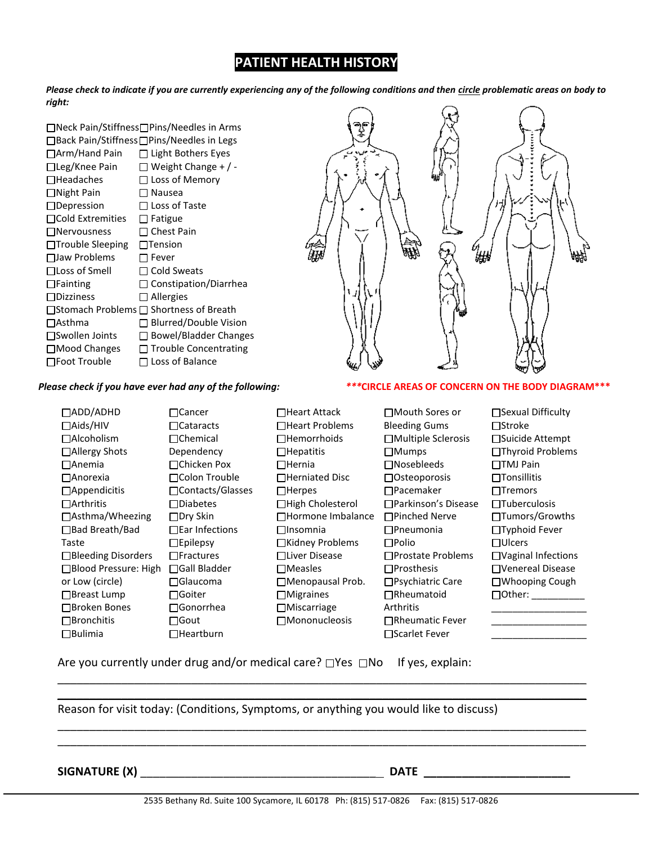# **PATIENT HEALTH HISTORY**

*Please check to indicate if you are currently experiencing any of the following conditions and then circle problematic areas on body to right:*

□Neck Pain/Stiffness□Pins/Needles in Arms □Back Pain/Stiffness□Pins/Needles in Legs □Arm/Hand Pain □ Light Bothers Eyes  $\Box$ Leg/Knee Pain  $\Box$  Weight Change + / - $\Box$ Headaches  $\Box$  Loss of Memory □Night Pain □ Nausea □Depression □ Loss of Taste  $\Box$ Cold Extremities  $\Box$  Fatigue  $\Box$ Nervousness  $\Box$  Chest Pain  $\Box$ Trouble Sleeping  $\Box$ Tension  $\Box$ Jaw Problems  $\Box$  Fever □ Loss of Smell □ Cold Sweats Fainting Constipation/Diarrhea  $\Box$ Dizziness  $\Box$  Allergies  $\Box$ Stomach Problems  $\Box$  Shortness of Breath □Asthma □ Blurred/Double Vision □Swollen Joints □ Bowel/Bladder Changes  $\Box$ Mood Changes  $\Box$  Trouble Concentrating  $\square$  Foot Trouble  $\square$  Loss of Balance

# ₩

ADD/ADHD Aids/HIV Alcoholism Allergy Shots Anemia Anorexia □Appendicitis Arthritis Asthma/Wheezing Bad Breath/Bad Taste □Bleeding Disorders Blood Pressure: High Gall Bladder or Low (circle) □Breast Lump Broken Bones □Bronchitis Bulimia □Cancer Cataracts □Chemical Dependency □Chicken Pox Colon Trouble □Contacts/Glasses Diabetes □Dry Skin □Ear Infections  $\square$ Epilepsy  $\Box$ Fractures Glaucoma  $\Box$ Goiter Gonorrhea □Gout □Heartburn

### *Please check if you have ever had any of the following: \*\*\****CIRCLE AREAS OF CONCERN ON THE BODY DIAGRAM\*\*\***

**□Heart Attack** Heart Problems □Hemorrhoids  $\Box$ Hepatitis  $\Box$ Hernia □Herniated Disc  $\Box$ Herpes **□High Cholesterol** Hormone Imbalance  $\Box$ Insomnia  $\Box$ Kidney Problems Liver Disease Measles Menopausal Prob. Migraines Miscarriage Mononucleosis

Bleeding Gums Multiple Sclerosis Mumps Nosebleeds □ Osteoporosis Pacemaker Parkinson's Disease Pinched Nerve Pneumonia  $\Box$ Polio □Prostate Problems  $\Box$ Prosthesis □Psychiatric Care Rheumatoid Arthritis **□Rheumatic Fever** □Scarlet Fever

Mouth Sores or

□Sexual Difficulty  $\Box$ Stroke □Suicide Attempt □Thyroid Problems □TMJ Pain  $\Box$ Tonsillitis  $\Box$ Tremors □Tuberculosis □Tumors/Growths □Typhoid Fever Ulcers Vaginal Infections Venereal Disease Whooping Cough  $\Box$ Other: \_\_\_\_\_\_\_\_\_\_\_\_\_\_\_\_\_\_ \_\_\_\_\_\_\_\_\_\_\_\_\_\_\_\_\_\_ \_\_\_\_\_\_\_\_\_\_\_\_\_\_\_\_\_\_

Are you currently under drug and/or medical care?  $\Box$ Yes  $\Box$ No If yes, explain:

Reason for visit today: (Conditions, Symptoms, or anything you would like to discuss)

**SIGNATURE (X)** \_\_\_\_\_\_\_\_\_\_\_\_\_\_\_\_\_\_\_\_\_\_\_\_\_\_\_\_\_\_\_\_\_\_\_\_\_ **DATE \_\_\_\_\_\_\_\_\_\_\_\_\_\_\_\_\_\_\_\_\_\_\_**

\_\_\_\_\_\_\_\_\_\_\_\_\_\_\_\_\_\_\_\_\_\_\_\_\_\_\_\_\_\_\_\_\_\_\_\_\_\_\_\_\_\_\_\_\_\_\_\_\_\_\_\_\_\_\_\_\_\_\_\_\_\_\_\_\_\_\_\_\_\_\_\_\_\_\_\_\_\_\_\_\_\_\_ \_\_\_\_\_\_\_\_\_\_\_\_\_\_\_\_\_\_\_\_\_\_\_\_\_\_\_\_\_\_\_\_\_\_\_\_\_\_\_\_\_\_\_\_\_\_\_\_\_\_\_\_\_\_\_\_\_\_\_\_\_\_\_\_\_\_\_\_\_\_\_\_\_\_\_\_\_\_\_\_\_\_\_

\_\_\_\_\_\_\_\_\_\_\_\_\_\_\_\_\_\_\_\_\_\_\_\_\_\_\_\_\_\_\_\_\_\_\_\_\_\_\_\_\_\_\_\_\_\_\_\_\_\_\_\_\_\_\_\_\_\_\_\_\_\_\_\_\_\_\_\_\_\_\_\_\_\_\_\_\_\_\_\_\_\_\_ \_\_\_\_\_\_\_\_\_\_\_\_\_\_\_\_\_\_\_\_\_\_\_\_\_\_\_\_\_\_\_\_\_\_\_\_\_\_\_\_\_\_\_\_\_\_\_\_\_\_\_\_\_\_\_\_\_\_\_\_\_\_\_\_\_\_\_\_\_\_\_\_\_\_\_\_\_\_\_\_\_\_\_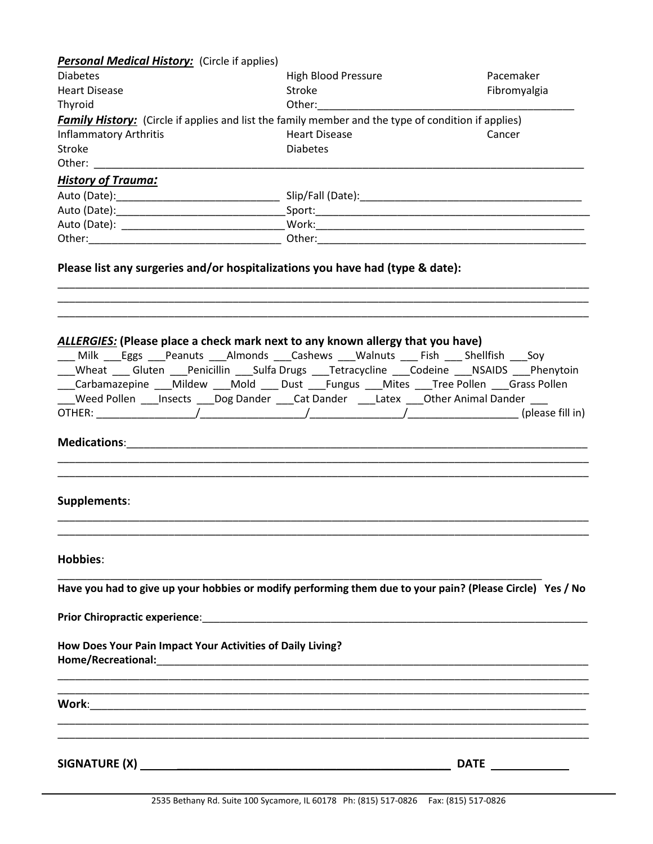| <b>Personal Medical History:</b> (Circle if applies)       |                                                                                                                                                                                                                                                                                                                                                                        |              |
|------------------------------------------------------------|------------------------------------------------------------------------------------------------------------------------------------------------------------------------------------------------------------------------------------------------------------------------------------------------------------------------------------------------------------------------|--------------|
| <b>Diabetes</b>                                            | <b>High Blood Pressure</b>                                                                                                                                                                                                                                                                                                                                             | Pacemaker    |
| <b>Heart Disease</b>                                       | Stroke                                                                                                                                                                                                                                                                                                                                                                 | Fibromyalgia |
| Thyroid                                                    | Other: and the control of the control of the control of the control of the control of the control of the control of the control of the control of the control of the control of the control of the control of the control of t                                                                                                                                         |              |
|                                                            | <b>Family History:</b> (Circle if applies and list the family member and the type of condition if applies)                                                                                                                                                                                                                                                             |              |
| <b>Inflammatory Arthritis</b>                              | <b>Heart Disease</b>                                                                                                                                                                                                                                                                                                                                                   | Cancer       |
| Stroke                                                     | <b>Diabetes</b>                                                                                                                                                                                                                                                                                                                                                        |              |
|                                                            |                                                                                                                                                                                                                                                                                                                                                                        |              |
| <b>History of Trauma:</b>                                  |                                                                                                                                                                                                                                                                                                                                                                        |              |
|                                                            |                                                                                                                                                                                                                                                                                                                                                                        |              |
|                                                            |                                                                                                                                                                                                                                                                                                                                                                        |              |
|                                                            |                                                                                                                                                                                                                                                                                                                                                                        |              |
|                                                            |                                                                                                                                                                                                                                                                                                                                                                        |              |
|                                                            | ALLERGIES: (Please place a check mark next to any known allergy that you have)                                                                                                                                                                                                                                                                                         |              |
|                                                            | Milk Eggs Peanuts Almonds Cashews Walnuts Fish Shellfish Soy<br>_Wheat ____ Gluten ____Penicillin ____Sulfa Drugs ____Tetracycline ____Codeine ____NSAIDS ____Phenytoin<br>___Carbamazepine ___Mildew ___Mold ___ Dust ___Fungus ___Mites ___Tree Pollen ___Grass Pollen<br>___Weed Pollen ___Insects ___Dog Dander ___Cat Dander \___Latex ___Other Animal Dander ___ |              |
|                                                            | Medications: 2008 and 2008 and 2008 and 2010 and 2010 and 2010 and 2010 and 2010 and 2010 and 2010 and 2010 an                                                                                                                                                                                                                                                         |              |
| Supplements:                                               |                                                                                                                                                                                                                                                                                                                                                                        |              |
| <b>Hobbies:</b>                                            |                                                                                                                                                                                                                                                                                                                                                                        |              |
|                                                            | Have you had to give up your hobbies or modify performing them due to your pain? (Please Circle) Yes / No                                                                                                                                                                                                                                                              |              |
|                                                            |                                                                                                                                                                                                                                                                                                                                                                        |              |
| How Does Your Pain Impact Your Activities of Daily Living? |                                                                                                                                                                                                                                                                                                                                                                        |              |
|                                                            | ,我们也不能在这里的时候,我们也不能在这里的时候,我们也不能会在这里,我们也不能会不能会不能会不能会。""我们的人,我们也不能会不能会不能会不能会不能会不能会不                                                                                                                                                                                                                                                                                       |              |
|                                                            |                                                                                                                                                                                                                                                                                                                                                                        |              |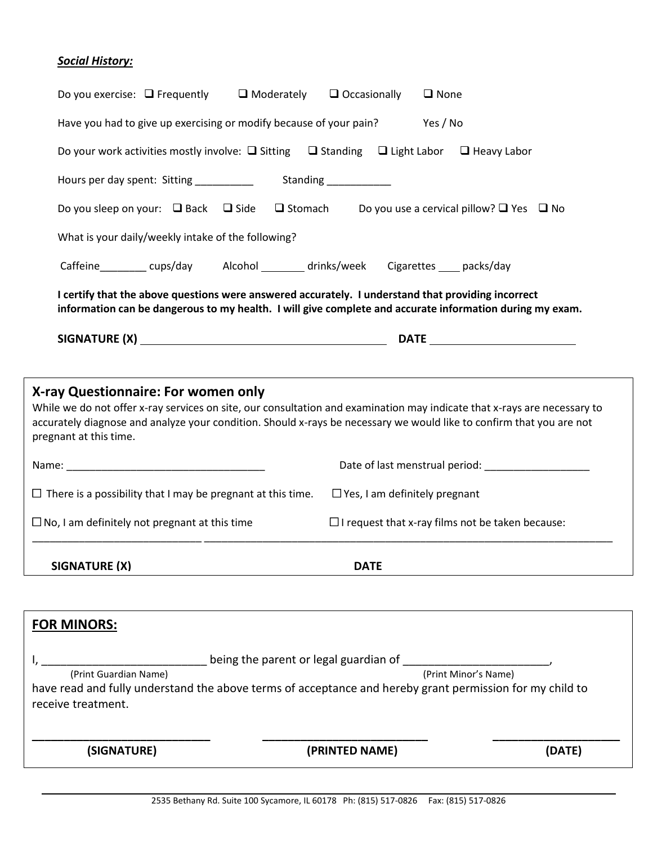# *Social History:*

| Do you exercise: $\Box$ Frequently                                                                                                                                                                                                                                                                                | $\Box$ Occasionally<br>$\Box$ Moderately                                                                                                                                                                       | $\Box$ None                                             |  |  |  |  |  |
|-------------------------------------------------------------------------------------------------------------------------------------------------------------------------------------------------------------------------------------------------------------------------------------------------------------------|----------------------------------------------------------------------------------------------------------------------------------------------------------------------------------------------------------------|---------------------------------------------------------|--|--|--|--|--|
|                                                                                                                                                                                                                                                                                                                   | Have you had to give up exercising or modify because of your pain?<br>Yes / No                                                                                                                                 |                                                         |  |  |  |  |  |
|                                                                                                                                                                                                                                                                                                                   | Do your work activities mostly involve: $\Box$ Sitting $\Box$ Standing $\Box$ Light Labor $\Box$ Heavy Labor                                                                                                   |                                                         |  |  |  |  |  |
|                                                                                                                                                                                                                                                                                                                   | Standing<br><u>_____________</u><br>Hours per day spent: Sitting __________                                                                                                                                    |                                                         |  |  |  |  |  |
|                                                                                                                                                                                                                                                                                                                   | Do you sleep on your: $\Box$ Back $\Box$ Side $\Box$ Stomach Do you use a cervical pillow? $\Box$ Yes $\Box$ No                                                                                                |                                                         |  |  |  |  |  |
| What is your daily/weekly intake of the following?                                                                                                                                                                                                                                                                |                                                                                                                                                                                                                |                                                         |  |  |  |  |  |
|                                                                                                                                                                                                                                                                                                                   | Caffeine_________ cups/day alcohol _______ drinks/week Cigarettes ___ packs/day                                                                                                                                |                                                         |  |  |  |  |  |
|                                                                                                                                                                                                                                                                                                                   | I certify that the above questions were answered accurately. I understand that providing incorrect<br>information can be dangerous to my health. I will give complete and accurate information during my exam. |                                                         |  |  |  |  |  |
|                                                                                                                                                                                                                                                                                                                   |                                                                                                                                                                                                                |                                                         |  |  |  |  |  |
|                                                                                                                                                                                                                                                                                                                   |                                                                                                                                                                                                                |                                                         |  |  |  |  |  |
| X-ray Questionnaire: For women only<br>While we do not offer x-ray services on site, our consultation and examination may indicate that x-rays are necessary to<br>accurately diagnose and analyze your condition. Should x-rays be necessary we would like to confirm that you are not<br>pregnant at this time. |                                                                                                                                                                                                                |                                                         |  |  |  |  |  |
|                                                                                                                                                                                                                                                                                                                   |                                                                                                                                                                                                                |                                                         |  |  |  |  |  |
| $\Box$ There is a possibility that I may be pregnant at this time.                                                                                                                                                                                                                                                | $\Box$ Yes, I am definitely pregnant                                                                                                                                                                           |                                                         |  |  |  |  |  |
| $\Box$ No, I am definitely not pregnant at this time                                                                                                                                                                                                                                                              |                                                                                                                                                                                                                | $\Box$ I request that x-ray films not be taken because: |  |  |  |  |  |
| <b>SIGNATURE (X)</b>                                                                                                                                                                                                                                                                                              | <b>DATE</b>                                                                                                                                                                                                    |                                                         |  |  |  |  |  |
|                                                                                                                                                                                                                                                                                                                   |                                                                                                                                                                                                                |                                                         |  |  |  |  |  |
| <b>FOR MINORS:</b>                                                                                                                                                                                                                                                                                                |                                                                                                                                                                                                                |                                                         |  |  |  |  |  |
| being the parent or legal guardian of<br>(Print Guardian Name)<br>(Print Minor's Name)<br>have read and fully understand the above terms of acceptance and hereby grant permission for my child to<br>receive treatment.                                                                                          |                                                                                                                                                                                                                |                                                         |  |  |  |  |  |
| (SIGNATURE)                                                                                                                                                                                                                                                                                                       | (PRINTED NAME)                                                                                                                                                                                                 | (DATE)                                                  |  |  |  |  |  |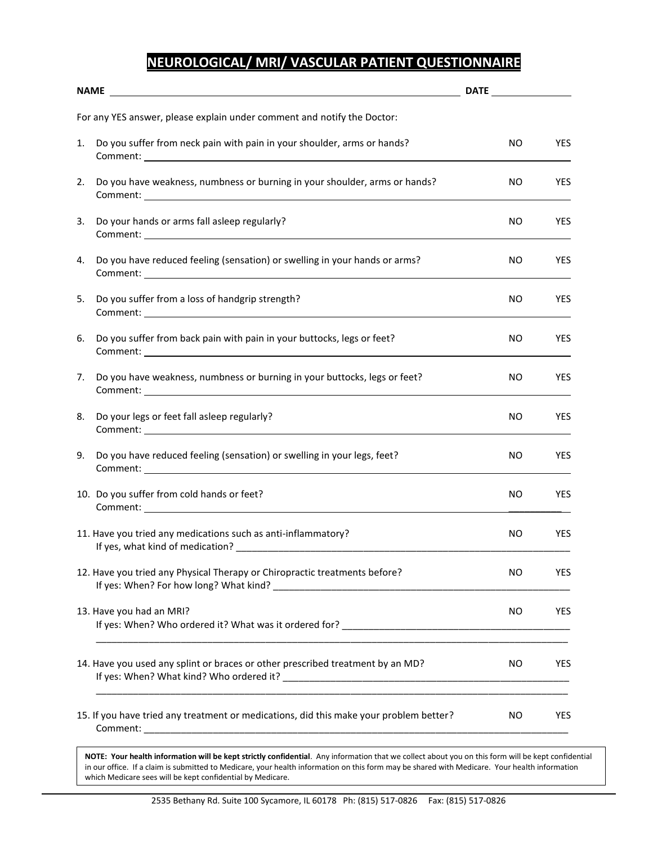# **NEUROLOGICAL/ MRI/ VASCULAR PATIENT QUESTIONNAIRE**

|    | For any YES answer, please explain under comment and notify the Doctor:                                                                                                                                                                                                                                        |           |            |
|----|----------------------------------------------------------------------------------------------------------------------------------------------------------------------------------------------------------------------------------------------------------------------------------------------------------------|-----------|------------|
| 1. | Do you suffer from neck pain with pain in your shoulder, arms or hands?<br>Comment: <u>comment</u> comment and comments and comments of the comments of the comments of the comments of the comments of the comments of the comments of the comments of the comments of the comments of the comments of the co | NO.       | <b>YES</b> |
| 2. | Do you have weakness, numbness or burning in your shoulder, arms or hands?                                                                                                                                                                                                                                     | NO.       | <b>YES</b> |
| 3. | Do your hands or arms fall asleep regularly?                                                                                                                                                                                                                                                                   | NO.       | <b>YES</b> |
| 4. | Do you have reduced feeling (sensation) or swelling in your hands or arms?                                                                                                                                                                                                                                     | NO.       | <b>YES</b> |
| 5. | Do you suffer from a loss of handgrip strength?                                                                                                                                                                                                                                                                | NO.       | YES.       |
| 6. | Do you suffer from back pain with pain in your buttocks, legs or feet?                                                                                                                                                                                                                                         | NO.       | <b>YES</b> |
| 7. | Do you have weakness, numbness or burning in your buttocks, legs or feet?                                                                                                                                                                                                                                      | NO.       | <b>YES</b> |
| 8. | Do your legs or feet fall asleep regularly?                                                                                                                                                                                                                                                                    | NO        | <b>YES</b> |
| 9. | Do you have reduced feeling (sensation) or swelling in your legs, feet?                                                                                                                                                                                                                                        | NO.       | <b>YES</b> |
|    | 10. Do you suffer from cold hands or feet?<br>Comment: <u>comment</u> comment comments and comments of the comments of the comments of the comments of the comments of the comments of the comments of the comments of the comments of the comments of the comments of the commen                              | NO        | <b>YES</b> |
|    | 11. Have you tried any medications such as anti-inflammatory?                                                                                                                                                                                                                                                  | NO.       | <b>YES</b> |
|    | 12. Have you tried any Physical Therapy or Chiropractic treatments before?                                                                                                                                                                                                                                     | <b>NO</b> | <b>YES</b> |
|    | 13. Have you had an MRI?                                                                                                                                                                                                                                                                                       | NO.       | <b>YES</b> |
|    | 14. Have you used any splint or braces or other prescribed treatment by an MD?                                                                                                                                                                                                                                 | NO.       | <b>YES</b> |
|    | 15. If you have tried any treatment or medications, did this make your problem better?                                                                                                                                                                                                                         | NO.       | <b>YES</b> |

**NOTE: Your health information will be kept strictly confidential**. Any information that we collect about you on this form will be kept confidential in our office. If a claim is submitted to Medicare, your health information on this form may be shared with Medicare. Your health information which Medicare sees will be kept confidential by Medicare.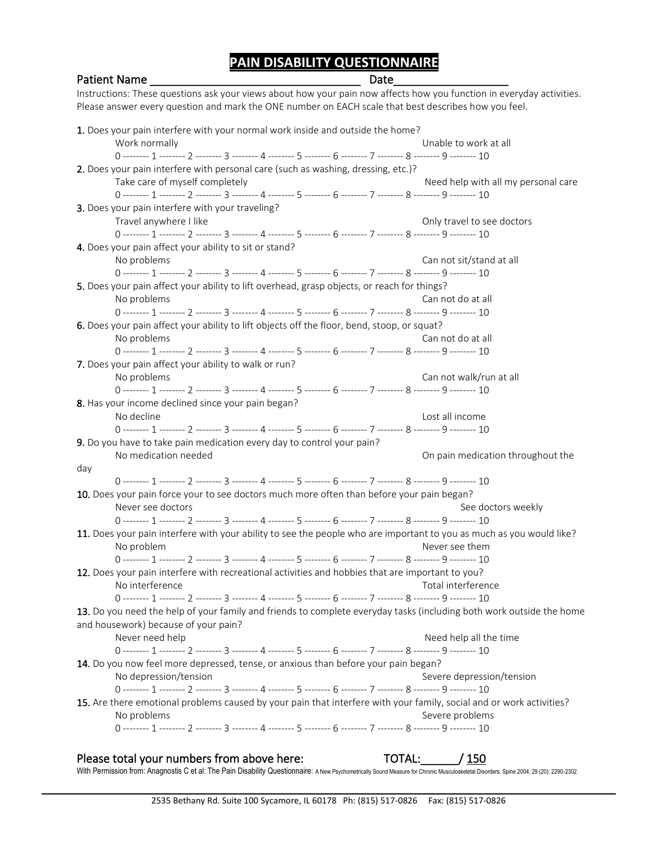# **PAIN DISABILITY QUESTIONNAIRE**

### Patient Name \_\_\_\_\_\_\_\_\_\_\_\_\_\_\_\_\_\_\_\_\_\_\_\_\_\_\_\_\_\_\_\_\_ Date\_\_\_\_\_\_\_\_\_\_\_\_\_\_\_\_\_\_ Instructions: These questions ask your views about how your pain now affects how you function in everyday activities. Please answer every question and mark the ONE number on EACH scale that best describes how you feel. 1. Does your pain interfere with your normal work inside and outside the home? Work normally Unable to work at all 0 -------- 1 -------- 2 -------- 3 -------- 4 -------- 5 -------- 6 -------- 7 -------- 8 -------- 9 -------- 10 2. Does your pain interfere with personal care (such as washing, dressing, etc.)? Take care of myself completely Need help with all my personal care 0 -------- 1 -------- 2 -------- 3 -------- 4 -------- 5 -------- 6 -------- 7 -------- 8 -------- 9 -------- 10 3. Does your pain interfere with your traveling? Travel anywhere I like Travel and Travel to see doctors 0 -------- 1 -------- 2 -------- 3 -------- 4 -------- 5 -------- 6 -------- 7 -------- 8 -------- 9 -------- 10 4. Does your pain affect your ability to sit or stand? No problems Can not sit/stand at all 0 -------- 1 -------- 2 -------- 3 -------- 4 -------- 5 -------- 6 -------- 7 -------- 8 -------- 9 -------- 10 5. Does your pain affect your ability to lift overhead, grasp objects, or reach for things? No problems Can not do at all 0 -------- 1 -------- 2 -------- 3 -------- 4 -------- 5 -------- 6 -------- 7 -------- 8 -------- 9 -------- 10 6. Does your pain affect your ability to lift objects off the floor, bend, stoop, or squat? No problems Can not do at all 0 -------- 1 -------- 2 -------- 3 -------- 4 -------- 5 -------- 6 -------- 7 -------- 8 -------- 9 -------- 10 7. Does your pain affect your ability to walk or run? No problems Can not walk/run at all 0 -------- 1 -------- 2 -------- 3 -------- 4 -------- 5 -------- 6 -------- 7 -------- 8 -------- 9 -------- 10 8. Has your income declined since your pain began? No decline Lost all income 0 -------- 1 -------- 2 -------- 3 -------- 4 -------- 5 -------- 6 -------- 7 -------- 8 -------- 9 -------- 10 9. Do you have to take pain medication every day to control your pain? No medication needed On pain medication throughout the day 0 -------- 1 -------- 2 -------- 3 -------- 4 -------- 5 -------- 6 -------- 7 -------- 8 -------- 9 -------- 10 10. Does your pain force your to see doctors much more often than before your pain began? Never see doctors Never See doctors weekly 0 -------- 1 -------- 2 -------- 3 -------- 4 -------- 5 -------- 6 -------- 7 -------- 8 -------- 9 -------- 10 11. Does your pain interfere with your ability to see the people who are important to you as much as you would like? No problem Never see them 0 -------- 1 -------- 2 -------- 3 -------- 4 -------- 5 -------- 6 -------- 7 -------- 8 -------- 9 -------- 10 12. Does your pain interfere with recreational activities and hobbies that are important to you? No interference Total interference Total interference 0 -------- 1 -------- 2 -------- 3 -------- 4 -------- 5 -------- 6 -------- 7 -------- 8 -------- 9 -------- 10 13. Do you need the help of your family and friends to complete everyday tasks (including both work outside the home and housework) because of your pain? Never need help Never need help all the time need help all the time need help all the time 0 -------- 1 -------- 2 -------- 3 -------- 4 -------- 5 -------- 6 -------- 7 -------- 8 -------- 9 -------- 10 14. Do you now feel more depressed, tense, or anxious than before your pain began? No depression/tension Severe depression/tension 0 -------- 1 -------- 2 -------- 3 -------- 4 -------- 5 -------- 6 -------- 7 -------- 8 -------- 9 -------- 10 15. Are there emotional problems caused by your pain that interfere with your family, social and or work activities? No problems Severe problems Severe problems Severe problems Severe problems Severe problems 0 -------- 1 -------- 2 -------- 3 -------- 4 -------- 5 -------- 6 -------- 7 -------- 8 -------- 9 -------- 10

### Please total your numbers from above here: TOTAL: / 150 With Permission from: Anagnostis C et al: The Pain Disability Questionnaire: A New Psychometrically Sound Measure for Chronic Musculoskeletal Disorders. Spine 2004; 29 (20): 2290-2302.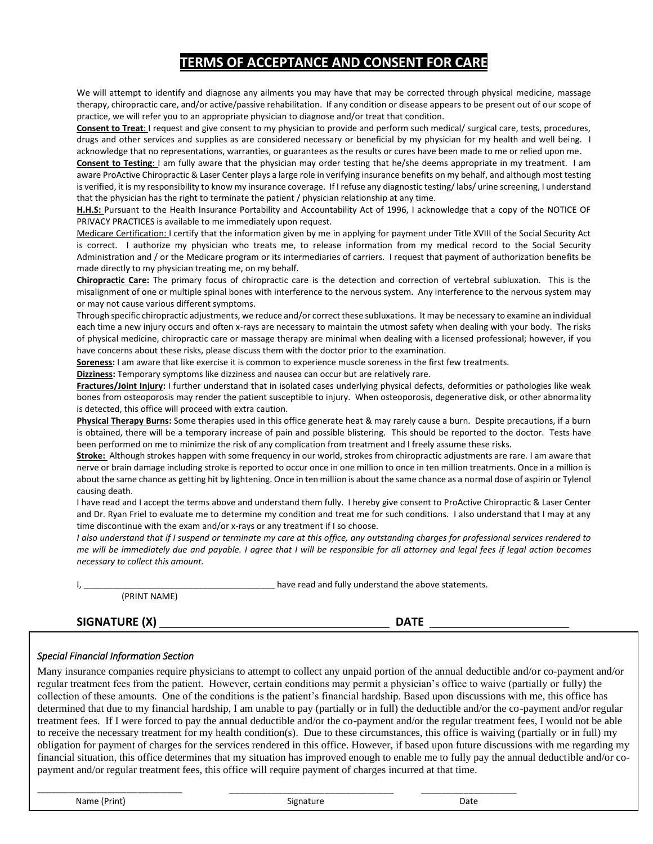### **TERMS OF ACCEPTANCE AND CONSENT FOR CARE**

We will attempt to identify and diagnose any ailments you may have that may be corrected through physical medicine, massage therapy, chiropractic care, and/or active/passive rehabilitation. If any condition or disease appears to be present out of our scope of practice, we will refer you to an appropriate physician to diagnose and/or treat that condition.

**Consent to Treat**: I request and give consent to my physician to provide and perform such medical/ surgical care, tests, procedures, drugs and other services and supplies as are considered necessary or beneficial by my physician for my health and well being. I acknowledge that no representations, warranties, or guarantees as the results or cures have been made to me or relied upon me.

**Consent to Testing**: I am fully aware that the physician may order testing that he/she deems appropriate in my treatment. I am aware ProActive Chiropractic & Laser Center plays a large role in verifying insurance benefits on my behalf, and although most testing is verified, it is my responsibility to know my insurance coverage. If I refuse any diagnostic testing/ labs/ urine screening, I understand that the physician has the right to terminate the patient / physician relationship at any time.

**H.H.S:** Pursuant to the Health Insurance Portability and Accountability Act of 1996, I acknowledge that a copy of the NOTICE OF PRIVACY PRACTICES is available to me immediately upon request.

Medicare Certification: I certify that the information given by me in applying for payment under Title XVIII of the Social Security Act is correct. I authorize my physician who treats me, to release information from my medical record to the Social Security Administration and / or the Medicare program or its intermediaries of carriers. I request that payment of authorization benefits be made directly to my physician treating me, on my behalf.

**Chiropractic Care:** The primary focus of chiropractic care is the detection and correction of vertebral subluxation. This is the misalignment of one or multiple spinal bones with interference to the nervous system. Any interference to the nervous system may or may not cause various different symptoms.

Through specific chiropractic adjustments, we reduce and/or correct these subluxations. It may be necessary to examine an individual each time a new injury occurs and often x-rays are necessary to maintain the utmost safety when dealing with your body. The risks of physical medicine, chiropractic care or massage therapy are minimal when dealing with a licensed professional; however, if you have concerns about these risks, please discuss them with the doctor prior to the examination.

**Soreness:** I am aware that like exercise it is common to experience muscle soreness in the first few treatments.

**Dizziness:** Temporary symptoms like dizziness and nausea can occur but are relatively rare.

**Fractures/Joint Injury:** I further understand that in isolated cases underlying physical defects, deformities or pathologies like weak bones from osteoporosis may render the patient susceptible to injury. When osteoporosis, degenerative disk, or other abnormality is detected, this office will proceed with extra caution.

**Physical Therapy Burns:** Some therapies used in this office generate heat & may rarely cause a burn. Despite precautions, if a burn is obtained, there will be a temporary increase of pain and possible blistering. This should be reported to the doctor. Tests have been performed on me to minimize the risk of any complication from treatment and I freely assume these risks.

**Stroke:** Although strokes happen with some frequency in our world, strokes from chiropractic adjustments are rare. I am aware that nerve or brain damage including stroke is reported to occur once in one million to once in ten million treatments. Once in a million is about the same chance as getting hit by lightening. Once in ten million is about the same chance as a normal dose of aspirin or Tylenol causing death.

I have read and I accept the terms above and understand them fully. I hereby give consent to ProActive Chiropractic & Laser Center and Dr. Ryan Friel to evaluate me to determine my condition and treat me for such conditions. I also understand that I may at any time discontinue with the exam and/or x-rays or any treatment if I so choose.

*I also understand that if I suspend or terminate my care at this office, any outstanding charges for professional services rendered to me will be immediately due and payable. I agree that I will be responsible for all attorney and legal fees if legal action becomes necessary to collect this amount.*

I, have read and fully understand the above statements.

(PRINT NAME)

**SIGNATURE (X) DATE** 

### *Special Financial Information Section*

obligation for payment of charges for the services rendered in this office. However, if based upon future discussions with me regarding my<br>financial situation, this office determines that my situation has improved enough t Many insurance companies require physicians to attempt to collect any unpaid portion of the annual deductible and/or co-payment and/or regular treatment fees from the patient. However, certain conditions may permit a physician's office to waive (partially or fully) the collection of these amounts. One of the conditions is the patient's financial hardship. Based upon discussions with me, this office has determined that due to my financial hardship, I am unable to pay (partially or in full) the deductible and/or the co-payment and/or regular treatment fees. If I were forced to pay the annual deductible and/or the co-payment and/or the regular treatment fees, I would not be able to receive the necessary treatment for my health condition(s). Due to these circumstances, this office is waiving (partially or in full) my obligation for payment of charges for the services rendered in this office. However, if based upon future discussions with me regarding my payment and/or regular treatment fees, this office will require payment of charges incurred at that time.

\_\_\_\_\_\_\_\_\_\_\_\_\_\_\_\_\_\_\_\_\_\_\_\_\_\_\_\_\_\_\_\_\_\_\_\_\_\_\_ \_\_\_\_\_\_\_\_\_\_\_\_\_\_\_\_\_\_\_\_\_\_\_\_\_\_\_\_\_\_\_ \_\_\_\_\_\_\_\_\_\_\_\_\_\_\_\_\_\_